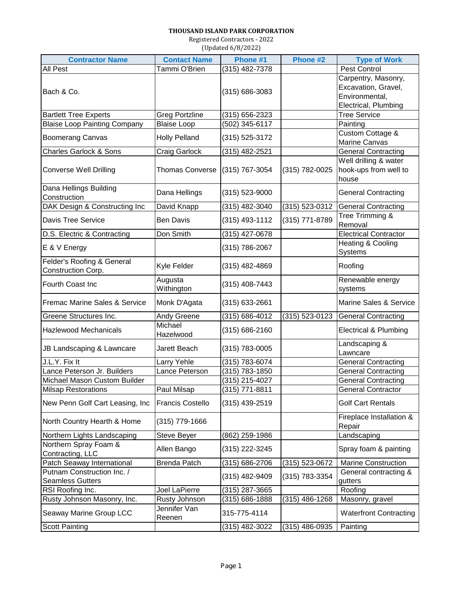## **THOUSAND ISLAND PARK CORPORATION**

Registered Contractors - 2022 (Updated 6/8/2022)

| <b>Contractor Name</b>                                | <b>Contact Name</b>     | Phone #1           | Phone #2       | <b>Type of Work</b>                                                                  |
|-------------------------------------------------------|-------------------------|--------------------|----------------|--------------------------------------------------------------------------------------|
| <b>All Pest</b>                                       | Tammi O'Brien           | (315) 482-7378     |                | Pest Control                                                                         |
| Bach & Co.                                            |                         | $(315) 686 - 3083$ |                | Carpentry, Masonry,<br>Excavation, Gravel,<br>Environmental,<br>Electrical, Plumbing |
| <b>Bartlett Tree Experts</b>                          | <b>Greg Portzline</b>   | $(315) 656 - 2323$ |                | <b>Tree Service</b>                                                                  |
| <b>Blaise Loop Painting Company</b>                   | <b>Blaise Loop</b>      | (502) 345-6117     |                | Painting                                                                             |
| <b>Boomerang Canvas</b>                               | <b>Holly Pelland</b>    | (315) 525-3172     |                | <b>Custom Cottage &amp;</b><br>Marine Canvas                                         |
| <b>Charles Garlock &amp; Sons</b>                     | Craig Garlock           | (315) 482-2521     |                | <b>General Contracting</b>                                                           |
| <b>Converse Well Drilling</b>                         | <b>Thomas Converse</b>  | (315) 767-3054     | (315) 782-0025 | Well drilling & water<br>hook-ups from well to<br>house                              |
| Dana Hellings Building<br>Construction                | Dana Hellings           | (315) 523-9000     |                | <b>General Contracting</b>                                                           |
| DAK Design & Constructing Inc                         | David Knapp             | (315) 482-3040     | (315) 523-0312 | <b>General Contracting</b>                                                           |
| <b>Davis Tree Service</b>                             | <b>Ben Davis</b>        | (315) 493-1112     | (315) 771-8789 | Tree Trimming &<br>Removal                                                           |
| D.S. Electric & Contracting                           | Don Smith               | (315) 427-0678     |                | <b>Electrical Contractor</b>                                                         |
| E & V Energy                                          |                         | (315) 786-2067     |                | Heating & Cooling<br>Systems                                                         |
| Felder's Roofing & General<br>Construction Corp.      | Kyle Felder             | (315) 482-4869     |                | Roofing                                                                              |
| Fourth Coast Inc                                      | Augusta<br>Withington   | (315) 408-7443     |                | Renewable energy<br>systems                                                          |
| Fremac Marine Sales & Service                         | Monk D'Agata            | (315) 633-2661     |                | Marine Sales & Service                                                               |
| Greene Structures Inc.                                | Andy Greene             | (315) 686-4012     | (315) 523-0123 | <b>General Contracting</b>                                                           |
| <b>Hazlewood Mechanicals</b>                          | Michael<br>Hazelwood    | (315) 686-2160     |                | <b>Electrical &amp; Plumbing</b>                                                     |
| JB Landscaping & Lawncare                             | Jarett Beach            | (315) 783-0005     |                | Landscaping &<br>Lawncare                                                            |
| J.L.Y. Fix It                                         | Larry Yehle             | (315) 783-6074     |                | <b>General Contracting</b>                                                           |
| Lance Peterson Jr. Builders                           | Lance Peterson          | (315) 783-1850     |                | <b>General Contracting</b>                                                           |
| Michael Mason Custom Builder                          |                         | (315) 215-4027     |                | <b>General Contracting</b>                                                           |
| <b>Milsap Restorations</b>                            | Paul Milsap             | (315) 771-8811     |                | <b>General Contractor</b>                                                            |
| New Penn Golf Cart Leasing, Inc                       | <b>Francis Costello</b> | (315) 439-2519     |                | <b>Golf Cart Rentals</b>                                                             |
| North Country Hearth & Home                           | (315) 779-1666          |                    |                | Fireplace Installation &<br>Repair                                                   |
| Northern Lights Landscaping                           | Steve Beyer             | (862) 259-1986     |                | Landscaping                                                                          |
| Northern Spray Foam &<br>Contracting, LLC             | Allen Bango             | (315) 222-3245     |                | Spray foam & painting                                                                |
| Patch Seaway International                            | <b>Brenda Patch</b>     | (315) 686-2706     | (315) 523-0672 | <b>Marine Construction</b>                                                           |
| Putnam Construction Inc. /<br><b>Seamless Gutters</b> |                         | (315) 482-9409     | (315) 783-3354 | General contracting &<br>gutters                                                     |
| RSI Roofing Inc.                                      | Joel LaPierre           | (315) 287-3665     |                | Roofing                                                                              |
| Rusty Johnson Masonry, Inc.                           | Rusty Johnson           | (315) 686-1888     | (315) 486-1268 | Masonry, gravel                                                                      |
| Seaway Marine Group LCC                               | Jennifer Van<br>Reenen  | 315-775-4114       |                | <b>Waterfront Contracting</b>                                                        |
| <b>Scott Painting</b>                                 |                         | (315) 482-3022     | (315) 486-0935 | Painting                                                                             |